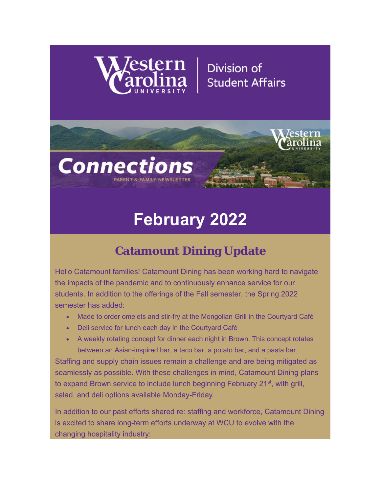

**Connections** 

Division of **Student Affairs** 

**February 2022**

## **Catamount Dining Update**

Hello Catamount families! Catamount Dining has been working hard to navigate the impacts of the pandemic and to continuously enhance service for our students. In addition to the offerings of the Fall semester, the Spring 2022 semester has added:

- Made to order omelets and stir-fry at the Mongolian Grill in the Courtyard Café
- Deli service for lunch each day in the Courtyard Café
- A weekly rotating concept for dinner each night in Brown. This concept rotates between an Asian-inspired bar, a taco bar, a potato bar, and a pasta bar

Staffing and supply chain issues remain a challenge and are being mitigated as seamlessly as possible. With these challenges in mind, Catamount Dining plans to expand Brown service to include lunch beginning February 21<sup>st</sup>, with grill, salad, and deli options available Monday-Friday.

In addition to our past efforts shared re: staffing and workforce, Catamount Dining is excited to share long-term efforts underway at WCU to evolve with the changing hospitality industry: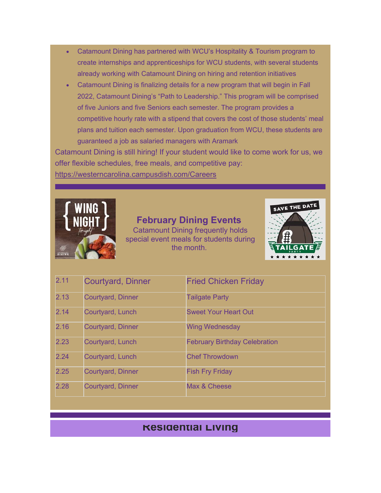- Catamount Dining has partnered with WCU's Hospitality & Tourism program to create internships and apprenticeships for WCU students, with several students already working with Catamount Dining on hiring and retention initiatives
- Catamount Dining is finalizing details for a new program that will begin in Fall 2022, Catamount Dining's "Path to Leadership." This program will be comprised of five Juniors and five Seniors each semester. The program provides a competitive hourly rate with a stipend that covers the cost of those students' meal plans and tuition each semester. Upon graduation from WCU, these students are guaranteed a job as salaried managers with Aramark

Catamount Dining is still hiring! If your student would like to come work for us, we offer flexible schedules, free meals, and competitive pay: https://westerncarolina.campusdish.com/Careers



**February Dining Events**  Catamount Dining frequently holds special event meals for students during the month.



| 2.11 | <b>Courtyard, Dinner</b> | <b>Fried Chicken Friday</b>          |
|------|--------------------------|--------------------------------------|
| 2.13 | <b>Courtyard, Dinner</b> | <b>Tailgate Party</b>                |
| 2.14 | Courtyard, Lunch         | <b>Sweet Your Heart Out</b>          |
| 2.16 | <b>Courtyard, Dinner</b> | <b>Wing Wednesday</b>                |
| 2.23 | Courtyard, Lunch         | <b>February Birthday Celebration</b> |
| 2.24 | Courtyard, Lunch         | <b>Chef Throwdown</b>                |
| 2.25 | Courtyard, Dinner        | <b>Fish Fry Friday</b>               |
| 2.28 | <b>Courtyard, Dinner</b> | Max & Cheese                         |

#### **Residential Living**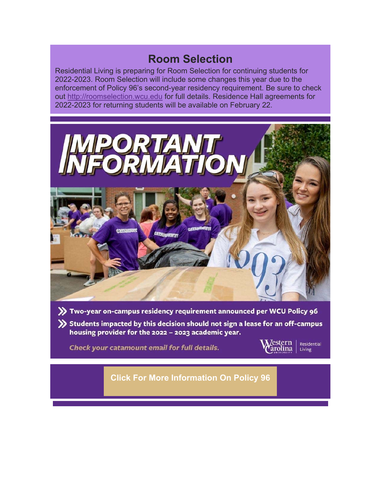### **Room Selection**

Residential Living is preparing for Room Selection for continuing students for 2022-2023. Room Selection will include some changes this year due to the enforcement of Policy 96's second-year residency requirement. Be sure to check out http://roomselection.wcu.edu for full details. Residence Hall agreements for 2022-2023 for returning students will be available on February 22.



- >>> Two-year on-campus residency requirement announced per WCU Policy 96
- >> Students impacted by this decision should not sign a lease for an off-campus housing provider for the 2022 - 2023 academic year.

Check your catamount email for full details.



**Click For More Information On Policy 96**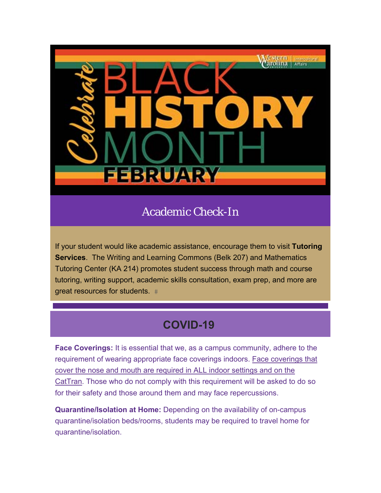

## Academic Check-In

If your student would like academic assistance, encourage them to visit **Tutoring Services**. The Writing and Learning Commons (Belk 207) and Mathematics Tutoring Center (KA 214) promotes student success through math and course tutoring, writing support, academic skills consultation, exam prep, and more are great resources for students.

### **COVID-19**

**Face Coverings:** It is essential that we, as a campus community, adhere to the requirement of wearing appropriate face coverings indoors. Face coverings that cover the nose and mouth are required in ALL indoor settings and on the CatTran. Those who do not comply with this requirement will be asked to do so for their safety and those around them and may face repercussions.

**Quarantine/Isolation at Home:** Depending on the availability of on-campus quarantine/isolation beds/rooms, students may be required to travel home for quarantine/isolation.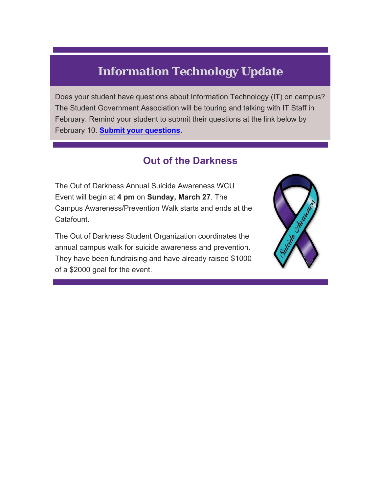## **Information Technology Update**

Does your student have questions about Information Technology (IT) on campus? The Student Government Association will be touring and talking with IT Staff in February. Remind your student to submit their questions at the link below by February 10. **Submit your questions.**

#### **Out of the Darkness**

The Out of Darkness Annual Suicide Awareness WCU Event will begin at **4 pm** on **Sunday, March 27**. The Campus Awareness/Prevention Walk starts and ends at the Catafount.

The Out of Darkness Student Organization coordinates the annual campus walk for suicide awareness and prevention. They have been fundraising and have already raised \$1000 of a \$2000 goal for the event.

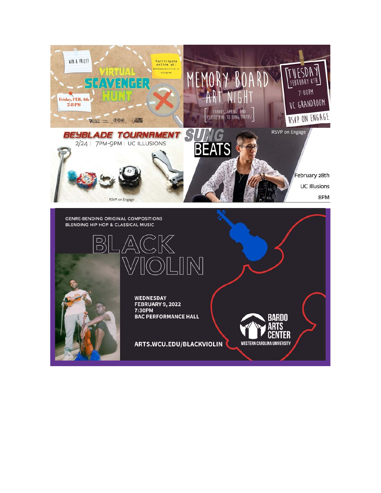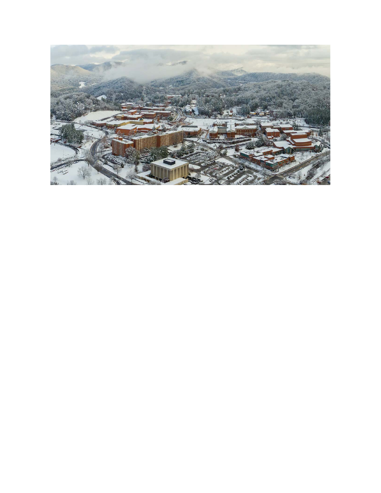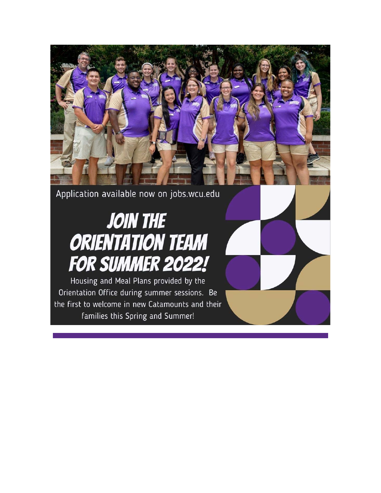Application available now on jobs.wcu.edu

# **JOIN THE ORIENTATION TEAM** FOR SUMMER 2022!

Housing and Meal Plans provided by the Orientation Office during summer sessions. Be the first to welcome in new Catamounts and their families this Spring and Summer!